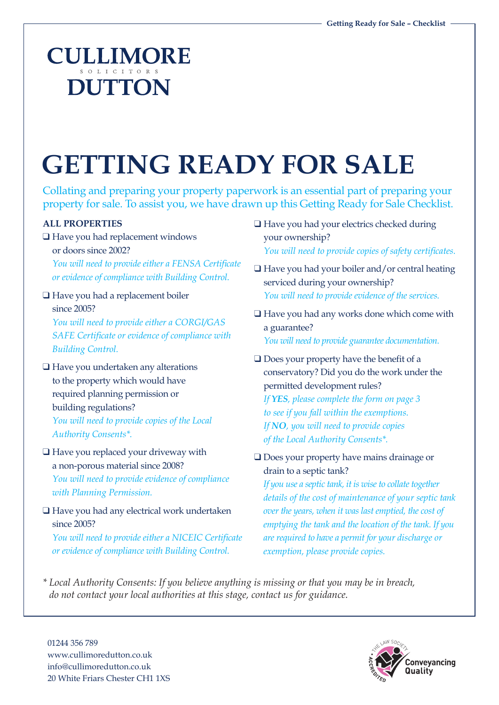## **CULLIMORE DUTTON**

# **GETTING READY FOR SALE**

Collating and preparing your property paperwork is an essential part of preparing your property for sale. To assist you, we have drawn up this Getting Ready for Sale Checklist.

#### **ALL PROPERTIES**

- $\Box$  Have you had replacement windows or doors since 2002? *You will need to provide either a FENSA Certificate or evidence of compliance with Building Control.*
- $\Box$  Have you had a replacement boiler since 2005?

*You will need to provide either a CORGI/GAS SAFE Certificate or evidence of compliance with Building Control.*

- $\Box$  Have you undertaken any alterations to the property which would have required planning permission or building regulations? *You will need to provide copies of the Local Authority Consents\*.*
- $\Box$  Have you replaced your driveway with a non-porous material since 2008? *You will need to provide evidence of compliance with Planning Permission.*
- $\Box$  Have you had any electrical work undertaken since 2005?

*You will need to provide either a NICEIC Certificate or evidence of compliance with Building Control.*

- $\Box$  Have you had your electrics checked during your ownership? *You will need to provide copies of safety certificates.*
- $\Box$  Have you had your boiler and/or central heating serviced during your ownership? *You will need to provide evidence of the services.*
- $\Box$  Have you had any works done which come with a guarantee? *You will need to provide guarantee documentation.*
- $\Box$  Does your property have the benefit of a conservatory? Did you do the work under the permitted development rules?

*If YES, please complete the form on page 3 to see if you fall within the exemptions. If NO, you will need to provide copies of the Local Authority Consents\*.*

 $\Box$  Does your property have mains drainage or drain to a septic tank?

*If you use a septic tank, it is wise to collate together details of the cost of maintenance of your septic tank over the years, when it was last emptied, the cost of emptying the tank and the location of the tank. If you are required to have a permit for your discharge or exemption, please provide copies.*

*\* Local Authority Consents: If you believe anything is missing or that you may be in breach, do not contact your local authorities at this stage, contact us for guidance.* 

01244 356 789 www.cullimoredutton.co.uk info@cullimoredutton.co.uk 20 White Friars Chester CH1 1XS

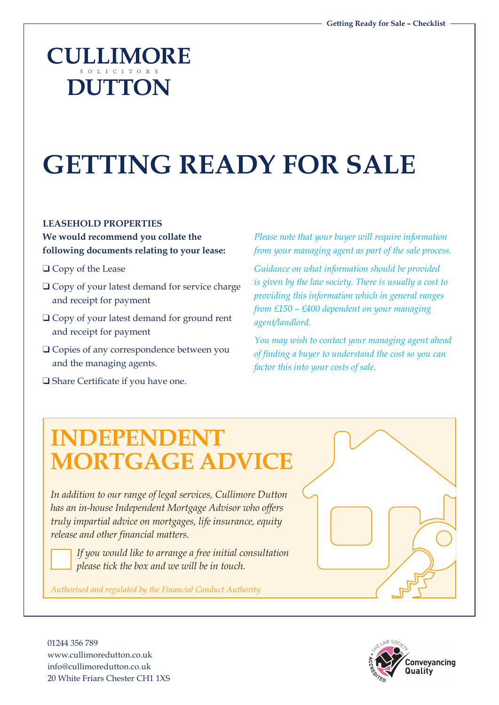### **CULLIMORE DUTTON**

## **GETTING READY FOR SALE**

#### **LEASEHOLD PROPERTIES**

**We would recommend you collate the following documents relating to your lease:**

- $\Box$  Copy of the Lease
- $\Box$  Copy of your latest demand for service charge and receipt for payment
- $\Box$  Copy of your latest demand for ground rent and receipt for payment
- Q Copies of any correspondence between you and the managing agents.
- □ Share Certificate if you have one.

*Please note that your buyer will require information from your managing agent as part of the sale process.* 

*Guidance on what information should be provided is given by the law society. There is usually a cost to providing this information which in general ranges from £150 – £400 dependent on your managing agent/landlord.* 

*You may wish to contact your managing agent ahead of finding a buyer to understand the cost so you can factor this into your costs of sale.*

### **INDEPENDENT MORTGAGE ADVICE**

In addition to our range of legal services, Cullimore Dutton *has an in-house Independent Mortgage Advisor who offers truly impartial advice on mortgages, life insurance, equity release and other financial matters.* 

*If you would like to arrange a free initial consultation please tick the box and we will be in touch.*

*Authorised and regulated by the Financial Conduct Authority* 



01244 356 789 www.cullimoredutton.co.uk info@cullimoredutton.co.uk 20 White Friars Chester CH1 1XS